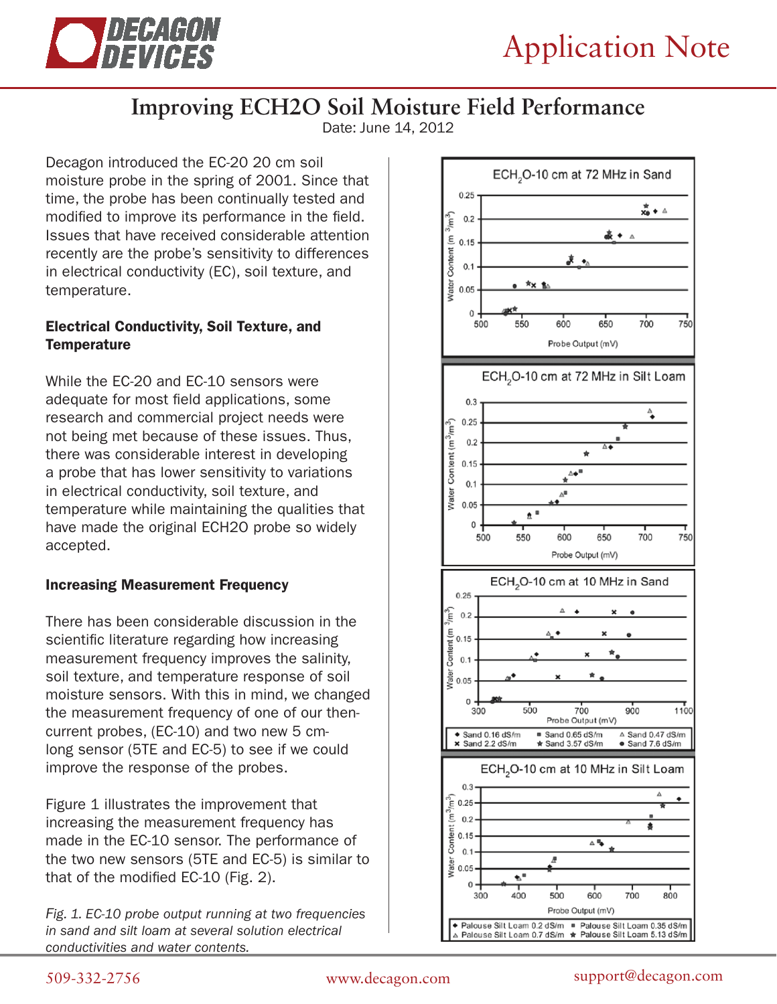



## **Improving ECH2O Soil Moisture Field Performance**

Date: June 14, 2012

Decagon introduced the EC-20 20 cm soil moisture probe in the spring of 2001. Since that time, the probe has been continually tested and modified to improve its performance in the field. Issues that have received considerable attention recently are the probe's sensitivity to differences in electrical conductivity (EC), soil texture, and temperature.

## Electrical Conductivity, Soil Texture, and **Temperature**

While the EC-20 and EC-10 sensors were adequate for most field applications, some research and commercial project needs were not being met because of these issues. Thus, there was considerable interest in developing a probe that has lower sensitivity to variations in electrical conductivity, soil texture, and temperature while maintaining the qualities that have made the original ECH2O probe so widely accepted.

## Increasing Measurement Frequency

There has been considerable discussion in the scientific literature regarding how increasing measurement frequency improves the salinity, soil texture, and temperature response of soil moisture sensors. With this in mind, we changed the measurement frequency of one of our thencurrent probes, (EC-10) and two new 5 cmlong sensor (5TE and EC-5) to see if we could improve the response of the probes.

Figure 1 illustrates the improvement that increasing the measurement frequency has made in the EC-10 sensor. The performance of the two new sensors (5TE and EC-5) is similar to that of the modified EC-10 (Fig. 2).

*Fig. 1. EC-10 probe output running at two frequencies in sand and silt loam at several solution electrical conductivities and water contents.*